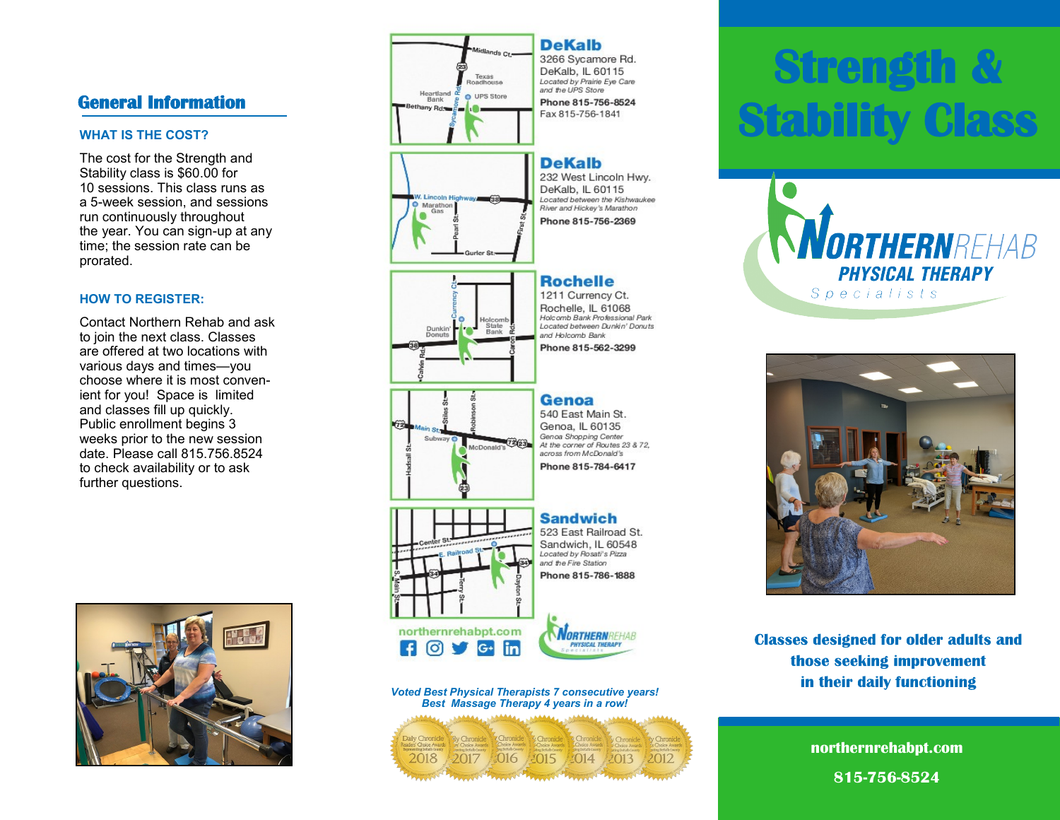### **General Information**

#### **WHAT IS THE COST?**

The cost for the Strength and Stability class is \$60.00 for 10 sessions. This class runs as a 5-week session, and sessions run continuously throughout the year. You can sign-up at any time; the session rate can be prorated.

#### **HOW TO REGISTER:**

Contact Northern Rehab and ask to join the next class. Classes are offered at two locations with various days and times—you choose where it is most convenient for you! Space is limited and classes fill up quickly. Public enrollment begins 3 weeks prior to the new session date. Please call 815.756.8524 to check availability or to ask further questions.





# **Strength Stability Class**





**Classes designed for older adults and** those seeking improvement in their daily functioning

> **northernrehabpt.com 815-756-8524**